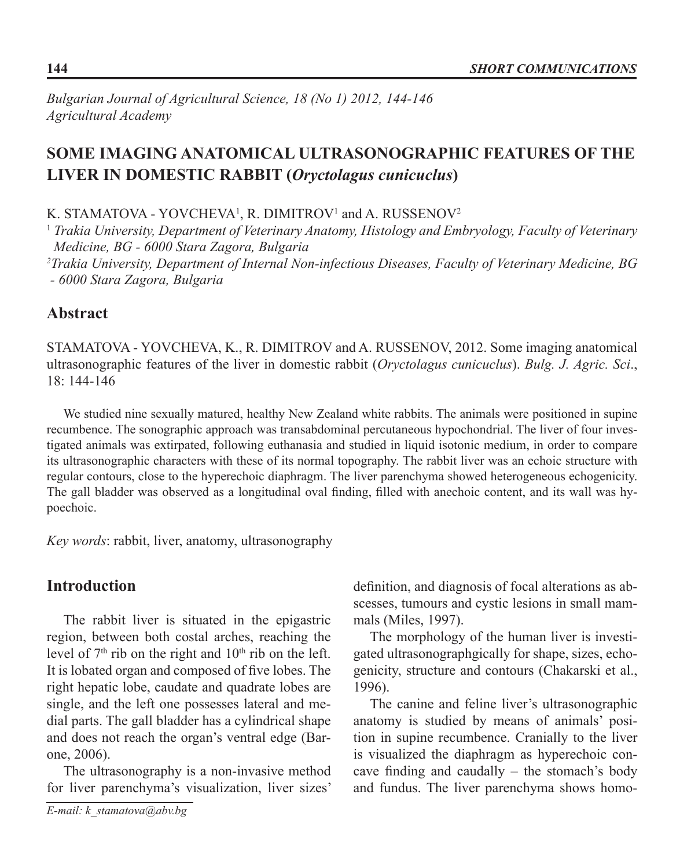*Bulgarian Journal of Agricultural Science, 18 (No 1) 2012, 144-146 Agricultural Academy*

# **SOME IMAGING ANATOMICAL ULTRASONOGRAPHIC FEATURES OF THE LIVER IN DOMESTIC RABBIT (***Oryctolagus cunicuclus***)**

K. STAMATOVA - YOVCHEVA<sup>1</sup>, R. DIMITROV<sup>1</sup> and A. RUSSENOV<sup>2</sup>

1  *Trakia University, Department of Veterinary Anatomy, Histology and Embryology, Faculty of Veterinary Medicine, BG - 6000 Stara Zagora, Bulgaria* 

*2 Trakia University, Department of Internal Non-infectious Diseases, Faculty of Veterinary Medicine, BG - 6000 Stara Zagora, Bulgaria*

### **Abstract**

STAMATOVA - YOVCHEVA, K., R. DIMITROV and A. RUSSENOV, 2012. Some imaging anatomical ultrasonographic features of the liver in domestic rabbit (*Oryctolagus cunicuclus*). *Bulg. J. Agric. Sci*., 18: 144-146

We studied nine sexually matured, healthy New Zealand white rabbits. The animals were positioned in supine recumbence. The sonographic approach was transabdominal percutaneous hypochondrial. The liver of four investigated animals was extirpated, following euthanasia and studied in liquid isotonic medium, in order to compare its ultrasonographic characters with these of its normal topography. The rabbit liver was an echoic structure with regular contours, close to the hyperechoic diaphragm. The liver parenchyma showed heterogeneous echogenicity. The gall bladder was observed as a longitudinal oval finding, filled with anechoic content, and its wall was hypoechoic.

*Key words*: rabbit, liver, anatomy, ultrasonography

## **Introduction**

The rabbit liver is situated in the epigastric region, between both costal arches, reaching the level of  $7<sup>th</sup>$  rib on the right and  $10<sup>th</sup>$  rib on the left. It is lobated organ and composed of five lobes. The right hepatic lobe, caudate and quadrate lobes are single, and the left one possesses lateral and medial parts. The gall bladder has a cylindrical shape and does not reach the organ's ventral edge (Barone, 2006).

The ultrasonography is a non-invasive method for liver parenchyma's visualization, liver sizes'

definition, and diagnosis of focal alterations as abscesses, tumours and cystic lesions in small mammals (Miles, 1997).

The morphology of the human liver is investigated ultrasonographgically for shape, sizes, echogenicity, structure and contours (Chakarski et al., 1996).

The canine and feline liver's ultrasonographic anatomy is studied by means of animals' position in supine recumbence. Cranially to the liver is visualized the diaphragm as hyperechoic concave finding and caudally – the stomach's body and fundus. The liver parenchyma shows homo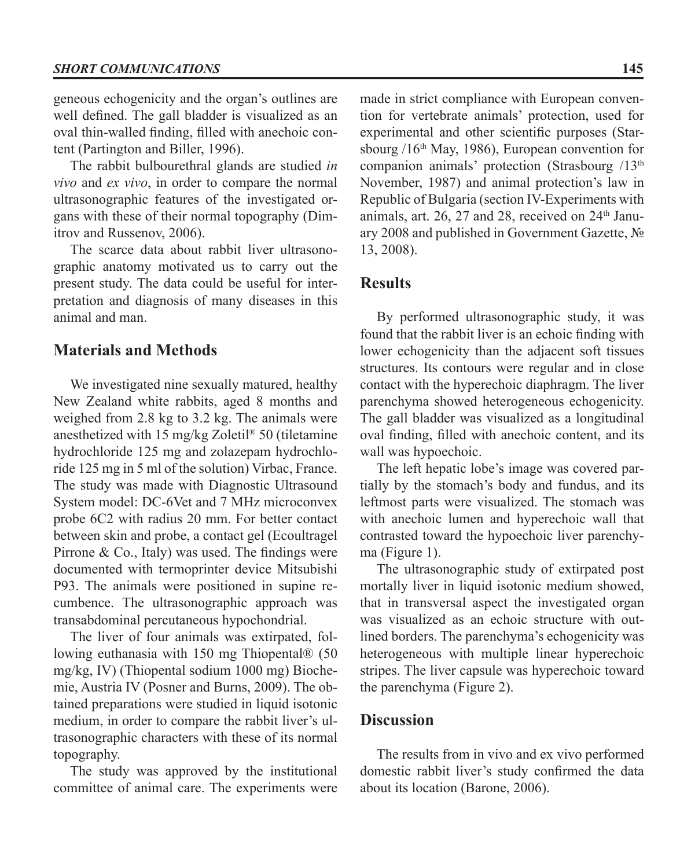geneous echogenicity and the organ's outlines are well defined. The gall bladder is visualized as an oval thin-walled finding, filled with anechoic content (Partington and Biller, 1996).

The rabbit bulbourethral glands are studied *in vivo* and *ex vivo*, in order to compare the normal ultrasonographic features of the investigated organs with these of their normal topography (Dimitrov and Russenov, 2006).

The scarce data about rabbit liver ultrasonographic anatomy motivated us to carry out the present study. The data could be useful for interpretation and diagnosis of many diseases in this animal and man.

### **Materials and Methods**

We investigated nine sexually matured, healthy New Zealand white rabbits, aged 8 months and weighed from 2.8 kg to 3.2 kg. The animals were anesthetized with 15 mg/kg Zoletil® 50 (tiletamine hydrochloride 125 mg and zolazepam hydrochloride 125 mg in 5 ml of the solution) Virbac, France. The study was made with Diagnostic Ultrasound System model: DC-6Vet and 7 MHz microconvex probe 6C2 with radius 20 mm. For better contact between skin and probe, a contact gel (Ecoultragel Pirrone & Co., Italy) was used. The findings were documented with termoprinter device Mitsubishi P93. The animals were positioned in supine recumbence. The ultrasonographic approach was transabdominal percutaneous hypochondrial.

The liver of four animals was extirpated, following euthanasia with 150 mg Thiopental® (50 mg/kg, IV) (Thiopental sodium 1000 mg) Biochemie, Austria iv (Posner and Burns, 2009). The obtained preparations were studied in liquid isotonic medium, in order to compare the rabbit liver's ultrasonographic characters with these of its normal topography.

The study was approved by the institutional committee of animal care. The experiments were

made in strict compliance with European convention for vertebrate animals' protection, used for experimental and other scientific purposes (Starsbourg /16th May, 1986), European convention for companion animals' protection (Strasbourg /13<sup>th</sup>) November, 1987) and animal protection's law in Republic of Bulgaria (section IV-Experiments with animals, art.  $26$ ,  $27$  and  $28$ , received on  $24<sup>th</sup>$  January 2008 and published in Government Gazette, № 13, 2008).

#### **Results**

By performed ultrasonographic study, it was found that the rabbit liver is an echoic finding with lower echogenicity than the adjacent soft tissues structures. Its contours were regular and in close contact with the hyperechoic diaphragm. The liver parenchyma showed heterogeneous echogenicity. The gall bladder was visualized as a longitudinal oval finding, filled with anechoic content, and its wall was hypoechoic.

The left hepatic lobe's image was covered partially by the stomach's body and fundus, and its leftmost parts were visualized. The stomach was with anechoic lumen and hyperechoic wall that contrasted toward the hypoechoic liver parenchyma (Figure 1).

The ultrasonographic study of extirpated post mortally liver in liquid isotonic medium showed, that in transversal aspect the investigated organ was visualized as an echoic structure with outlined borders. The parenchyma's echogenicity was heterogeneous with multiple linear hyperechoic stripes. The liver capsule was hyperechoic toward the parenchyma (Figure 2).

#### **Discussion**

The results from in vivo and ex vivo performed domestic rabbit liver's study confirmed the data about its location (Barone, 2006).